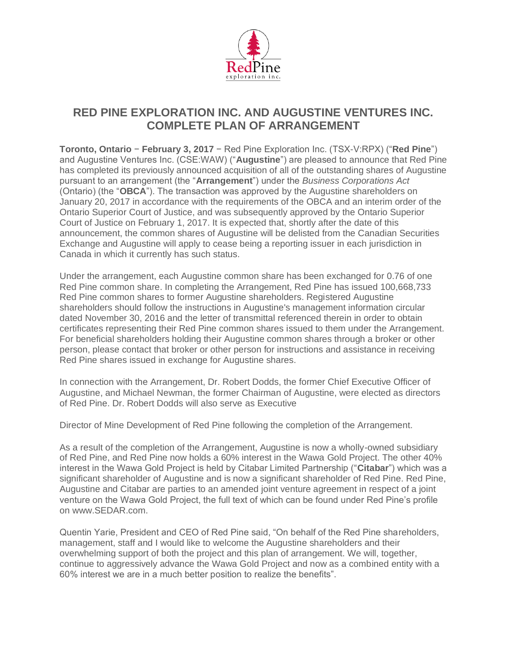

# **RED PINE EXPLORATION INC. AND AUGUSTINE VENTURES INC. COMPLETE PLAN OF ARRANGEMENT**

**Toronto, Ontario** − **February 3, 2017** − Red Pine Exploration Inc. (TSX-V:RPX) ("**Red Pine**") and Augustine Ventures Inc. (CSE:WAW) ("**Augustine**") are pleased to announce that Red Pine has completed its previously announced acquisition of all of the outstanding shares of Augustine pursuant to an arrangement (the "**Arrangement**") under the *Business Corporations Act*  (Ontario) (the "**OBCA**"). The transaction was approved by the Augustine shareholders on January 20, 2017 in accordance with the requirements of the OBCA and an interim order of the Ontario Superior Court of Justice, and was subsequently approved by the Ontario Superior Court of Justice on February 1, 2017. It is expected that, shortly after the date of this announcement, the common shares of Augustine will be delisted from the Canadian Securities Exchange and Augustine will apply to cease being a reporting issuer in each jurisdiction in Canada in which it currently has such status.

Under the arrangement, each Augustine common share has been exchanged for 0.76 of one Red Pine common share. In completing the Arrangement, Red Pine has issued 100,668,733 Red Pine common shares to former Augustine shareholders. Registered Augustine shareholders should follow the instructions in Augustine's management information circular dated November 30, 2016 and the letter of transmittal referenced therein in order to obtain certificates representing their Red Pine common shares issued to them under the Arrangement. For beneficial shareholders holding their Augustine common shares through a broker or other person, please contact that broker or other person for instructions and assistance in receiving Red Pine shares issued in exchange for Augustine shares.

In connection with the Arrangement, Dr. Robert Dodds, the former Chief Executive Officer of Augustine, and Michael Newman, the former Chairman of Augustine, were elected as directors of Red Pine. Dr. Robert Dodds will also serve as Executive

Director of Mine Development of Red Pine following the completion of the Arrangement.

As a result of the completion of the Arrangement, Augustine is now a wholly-owned subsidiary of Red Pine, and Red Pine now holds a 60% interest in the Wawa Gold Project. The other 40% interest in the Wawa Gold Project is held by Citabar Limited Partnership ("**Citabar**") which was a significant shareholder of Augustine and is now a significant shareholder of Red Pine. Red Pine, Augustine and Citabar are parties to an amended joint venture agreement in respect of a joint venture on the Wawa Gold Project, the full text of which can be found under Red Pine's profile on www.SEDAR.com.

Quentin Yarie, President and CEO of Red Pine said, "On behalf of the Red Pine shareholders, management, staff and I would like to welcome the Augustine shareholders and their overwhelming support of both the project and this plan of arrangement. We will, together, continue to aggressively advance the Wawa Gold Project and now as a combined entity with a 60% interest we are in a much better position to realize the benefits".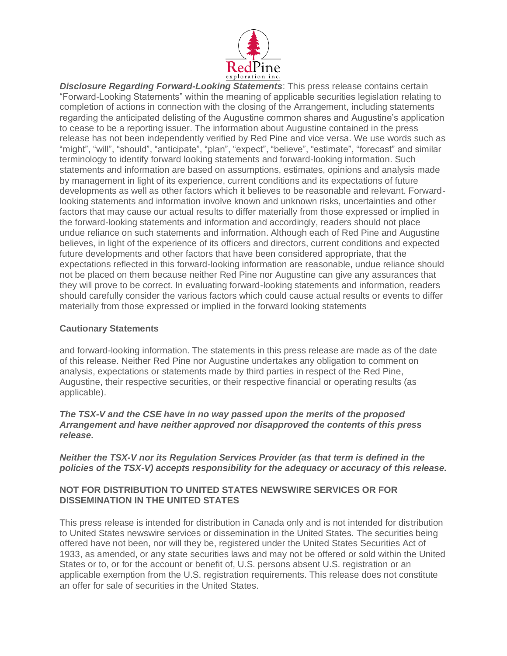

*Disclosure Regarding Forward-Looking Statements*: This press release contains certain "Forward-Looking Statements" within the meaning of applicable securities legislation relating to completion of actions in connection with the closing of the Arrangement, including statements regarding the anticipated delisting of the Augustine common shares and Augustine's application to cease to be a reporting issuer. The information about Augustine contained in the press release has not been independently verified by Red Pine and vice versa. We use words such as "might", "will", "should", "anticipate", "plan", "expect", "believe", "estimate", "forecast" and similar terminology to identify forward looking statements and forward-looking information. Such statements and information are based on assumptions, estimates, opinions and analysis made by management in light of its experience, current conditions and its expectations of future developments as well as other factors which it believes to be reasonable and relevant. Forwardlooking statements and information involve known and unknown risks, uncertainties and other factors that may cause our actual results to differ materially from those expressed or implied in the forward-looking statements and information and accordingly, readers should not place undue reliance on such statements and information. Although each of Red Pine and Augustine believes, in light of the experience of its officers and directors, current conditions and expected future developments and other factors that have been considered appropriate, that the expectations reflected in this forward-looking information are reasonable, undue reliance should not be placed on them because neither Red Pine nor Augustine can give any assurances that they will prove to be correct. In evaluating forward-looking statements and information, readers should carefully consider the various factors which could cause actual results or events to differ materially from those expressed or implied in the forward looking statements

## **Cautionary Statements**

and forward-looking information. The statements in this press release are made as of the date of this release. Neither Red Pine nor Augustine undertakes any obligation to comment on analysis, expectations or statements made by third parties in respect of the Red Pine, Augustine, their respective securities, or their respective financial or operating results (as applicable).

#### *The TSX-V and the CSE have in no way passed upon the merits of the proposed Arrangement and have neither approved nor disapproved the contents of this press release.*

#### *Neither the TSX-V nor its Regulation Services Provider (as that term is defined in the policies of the TSX-V) accepts responsibility for the adequacy or accuracy of this release.*

## **NOT FOR DISTRIBUTION TO UNITED STATES NEWSWIRE SERVICES OR FOR DISSEMINATION IN THE UNITED STATES**

This press release is intended for distribution in Canada only and is not intended for distribution to United States newswire services or dissemination in the United States. The securities being offered have not been, nor will they be, registered under the United States Securities Act of 1933, as amended, or any state securities laws and may not be offered or sold within the United States or to, or for the account or benefit of, U.S. persons absent U.S. registration or an applicable exemption from the U.S. registration requirements. This release does not constitute an offer for sale of securities in the United States.